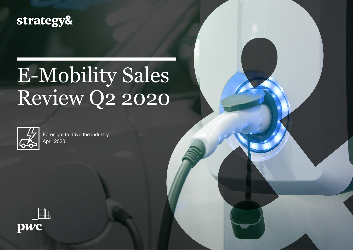### strategy&

## E-Mobility Sales Review Q2 2020



Foresight to drive the industry April 2020

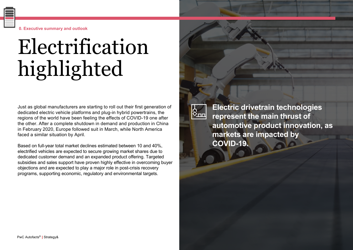**0. Executive summary and outlook**

## Electrification highlighted

Just as global manufacturers are starting to roll out their first generation of dedicated electric vehicle platforms and plug-in hybrid powertrains, the regions of the world have been feeling the effects of COVID-19 one after the other. After a complete shutdown in demand and production in China in February 2020, Europe followed suit in March, while North America faced a similar situation by April.

Based on full-year total market declines estimated between 10 and 40%, electrified vehicles are expected to secure growing market shares due to dedicated customer demand and an expanded product offering. Targeted subsidies and sales support have proven highly effective in overcoming buyer objections and are expected to play a major role in post-crisis recovery programs, supporting economic, regulatory and environmental targets.

?<br>⊗\_\_

**Electric drivetrain technologies represent the main thrust of automotive product innovation, as markets are impacted by COVID-19.**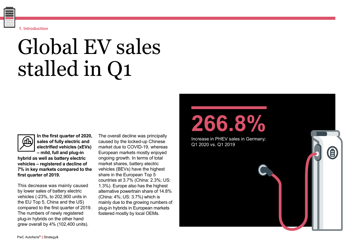**first quarter of 2019.**

The overall decline was principally caused by the locked-up Chinese market due to COVID-19, whereas European markets mostly enjoyed ongoing growth. In terms of total market shares, battery electric vehicles (BEVs) have the highest share in the European Top 5 countries at 3.7% (China: 2.3%; US: 1.3%). Europe also has the highest alternative powertrain share of 14.8% (China: 4%; US: 3.7%) which is mainly due to the growing numbers of plug-in hybrids in European markets fostered mostly by local OEMs.

## Global EV sales stalled in Q1



**In the first quarter of 2020, sales of fully electric and** 

**1. Introduction**

**electrified vehicles (xEVs) – mild, full and plug-in hybrid as well as battery electric vehicles – registered a decline of** 

**7% in key markets compared to the** 

This decrease was mainly caused by lower sales of battery electric vehicles (-23%, to 202,900 units in the EU Top 5, China and the US) compared to the first quarter of 2019. The numbers of newly registered plug-in hybrids on the other hand grew overall by 4% (102,400 units).

Increase in PHEV sales in Germany: Q1 2020 vs. Q1 2019

0

**266.8%**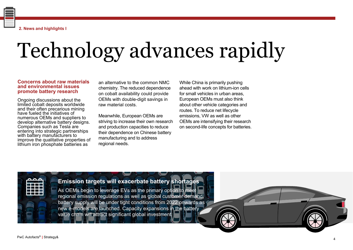**2. News and highlights I**

# Technology advances rapidly

#### **Concerns about raw materials and environmental issues promote battery research**

Ongoing discussions about the limited cobalt deposits worldwide and their often precarious mining have fueled the initiatives of numerous OEMs and suppliers to develop alternative battery designs. Companies such as Tesla are entering into strategic partnerships with battery manufacturers to improve the qualitative properties of lithium iron phosphate batteries as

an alternative to the common NMC chemistry. The reduced dependence on cobalt availability could provide OEMs with double-digit savings in raw material costs.

Meanwhile, European OEMs are striving to increase their own research and production capacities to reduce their dependence on Chinese battery manufacturing and to address regional needs.

While China is primarily pushing ahead with work on lithium-ion cells for small vehicles in urban areas, European OEMs must also think about other vehicle categories and routes. To reduce net lifecycle emissions, VW as well as other OEMs are intensifying their research on second-life concepts for batteries.

### **Emission targets will exacerbate battery shortages**

As OEMs begin to leverage EVs as the primary option to meet regional emission regulations as well as global customer demand, battery supply will be under tight conditions from 2022 onwards as new e-models are launched. Capacity expansions in the battery value chain will attract significant global investment.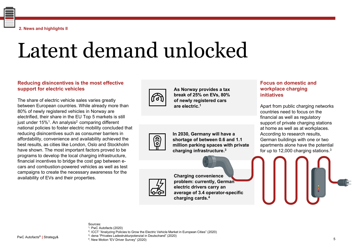PwC Autofacts® **|** Strategy&

Sources: 1: PwC Autofacts (2020)

2: ICCT "Analyzing Policies to Grow the Electric Vehicle Market in European Cities" (2020)

3: dena "Privates Ladestrukturpotenzial in Deutschand" (2020)

4. New Motion "EV Driver Survey" (2020)

# Latent demand unlocked

#### **Reducing disincentives is the most effective support for electric vehicles**

The share of electric vehicle sales varies greatly between European countries. While already more than 80% of newly registered vehicles in Norway are electrified, their share in the EU Top 5 markets is still just under  $15\%$ <sup>1</sup>. An analysis<sup>2</sup> comparing different national policies to foster electric mobility concluded that reducing disincentives such as consumer barriers in affordability, convenience and availability achieved the best results, as cities like London, Oslo and Stockholm have shown. The most important factors proved to be programs to develop the local charging infrastructure, financial incentives to bridge the cost gap between ecars and combustion-powered vehicles as well as test campaigns to create the necessary awareness for the availability of EVs and their properties.

**In 2030, Germany will have a shortage of between 0.6 and 1.1 million parking spaces with private charging infrastructure.3**

**As Norway provides a tax break of 25% on EVs, 80% of newly registered cars** 

**are electric.1**

#### **Focus on domestic and workplace charging initiatives**

Apart from public charging networks countries need to focus on the financial as well as regulatory support of private charging stations at home as well as at workplaces. According to research results, German buildings with one or two apartments alone have the potential for up to 12,000 charging stations.3

**Charging convenience problem: currently, German electric drivers carry an charging cards.4**

**average of 3.4 operator-specific** 



 $\frac{1}{2}$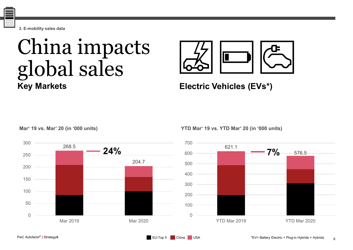**3. E-mobility sales data**

### China impacts global sales **Key Markets**



**Electric Vehicles (EVs\*)** 

**Mar' 19 vs. Mar' 20 (in '000 units)**



**YTD Mar' 19 vs. YTD Mar' 20 (in '000 units)**



6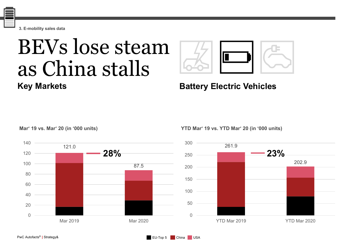**3. E-mobility sales data**

### BEVs lose steam as China stalls **Key Markets**



**Battery Electric Vehicles**

**Mar' 19 vs. Mar' 20 (in '000 units)**



**YTD Mar' 19 vs. YTD Mar' 20 (in '000 units)**

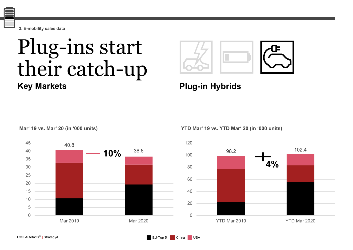**3. E-mobility sales data**

### Plug-ins start their catch-up **Key Markets**



### **Plug-in Hybrids**

EU-Top 5 China USA

**Mar' 19 vs. Mar' 20 (in '000 units)**



**YTD Mar' 19 vs. YTD Mar' 20 (in '000 units)**

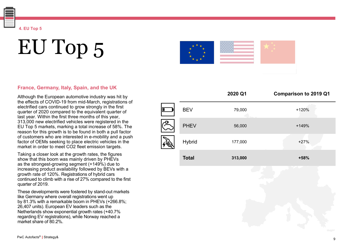EU Top 5

**4. EU Top 5**

#### **France, Germany, Italy, Spain, and the UK**

Although the European automotive industry was hit by the effects of COVID -19 from mid -March, registrations of electrified cars continued to grow strongly in the first quarter of 2020 compared to the equivalent quarter of last year. Within the first three months of this year, 313,000 new electrified vehicles were registered in the EU Top 5 markets, marking a total increase of 58%. The reason for this growth is to be found in both a pull factor of customers who are interested in e -mobility and a push factor of OEMs seeking to place electric vehicles in the market in order to meet CO2 fleet emission targets.

Taking a closer look at the growth rates, the figures show that this boom was mainly driven by PHEVs as the strongest -growing segment (+149%) due to increasing product availability followed by BEVs with a growth rate of 120%. Registrations of hybrid cars continued to climb with a rise of 27% compared to the first quarter of 2019.

These developments were fostered by stand -out markets like Germany where overall registrations went up by 81.3% with a remarkable boom in PHEVs (+266.8%; 26,407 units). European EV leaders such as the Netherlands show exponential growth rates (+40.7% regarding EV registrations), while Norway reached a market share of 80.2%.

|                |               | 2020 Q1 | <b>Comparison to 2019 Q1</b> |
|----------------|---------------|---------|------------------------------|
| П              | <b>BEV</b>    | 79,000  | $+120%$                      |
| $\overline{G}$ | <b>PHEV</b>   | 56,000  | $+149%$                      |
|                | <b>Hybrid</b> | 177,000 | $+27%$                       |
|                | <b>Total</b>  | 313,000 | +58%                         |

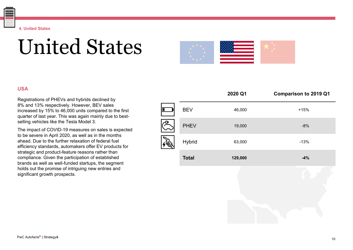### United States

### **USA**

Registrations of PHEVs and hybrids declined by 8% and 13% respectively. However, BEV sales increased by 15% to 46,000 units compared to the first quarter of last year. This was again mainly due to bestselling vehicles like the Tesla Model 3.

The impact of COVID-19 measures on sales is expected to be severe in April 2020, as well as in the months ahead. Due to the further relaxation of federal fuel efficiency standards, automakers offer EV products for strategic and product-feature reasons rather than compliance. Given the participation of established brands as well as well-funded startups, the segment holds out the promise of intriguing new entries and significant growth prospects.

|              | 2020 Q1 | <b>Comparison to 2019 Q1</b> |
|--------------|---------|------------------------------|
| <b>BEV</b>   | 46,000  | $+15%$                       |
| <b>PHEV</b>  | 19,000  | $-8%$                        |
| Hybrid       | 63,000  | $-13%$                       |
| <b>Total</b> | 129,000 | $-4%$                        |
|              |         |                              |
|              |         |                              |

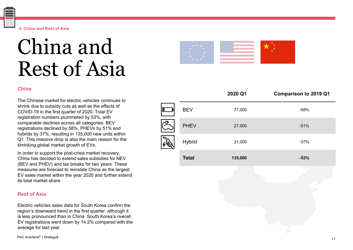#### **4. China and Rest of Asia**

### China and Rest of Asia

#### **China**

The Chinese market for electric vehicles continues to shrink due to subsidy cuts as well as the effects of COVID -19 in the first quarter of 2020. Total EV registration numbers plummeted by 53%, with comparable declines across all categories. BEV registrations declined by 58%, PHEVs by 51% and hybrids by 37%, resulting in 135,000 new units within Q1. This massive drop is also the main reason for the shrinking global market growth of EVs.

In order to support the post -crisis market recovery, China has decided to extend sales subsidies for NEV (BEV and PHEV) and tax breaks for two years. These measures are forecast to reinstate China as the largest EV sales market within the year 2020 and further extend its total market share.

#### **Rest of Asia**

Electric vehicles sales data for South Korea confirm the region's downward trend in the first quarter, although it is less pronounced than in China. South Korea's overall EV registrations went down by 14.2% compared with the average for last year.

|                |              | 2020 Q1 | <b>Comparison to 2019 Q1</b> |
|----------------|--------------|---------|------------------------------|
| $\blacksquare$ | <b>BEV</b>   | 77,000  | $-58%$                       |
| $\sqrt{F}$     | <b>PHEV</b>  | 27,000  | $-51%$                       |
|                | Hybrid       | 31,000  | $-37%$                       |
|                | <b>Total</b> | 135,000 | $-53%$                       |
|                |              |         |                              |
|                |              |         |                              |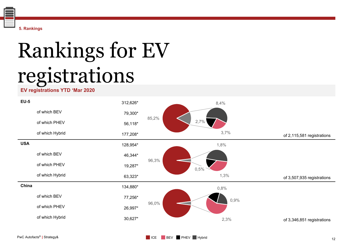

# Rankings for EV registrations

#### **EV registrations YTD 'Mar 2020**

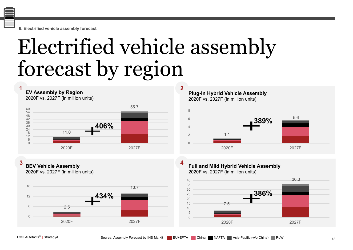**6. Electrified vehicle assembly forecast**

## Electrified vehicle assembly forecast by region

**1 2 EV Assembly by Region** 2020F vs. 2027F (in million units)



**3 4 BEV Vehicle Assembly**

2020F vs. 2027F (in million units)



**Plug-in Hybrid Vehicle Assembly** 2020F vs. 2027F (in million units)



**Full and Mild Hybrid Vehicle Assembly** 2020F vs. 2027F (in million units)

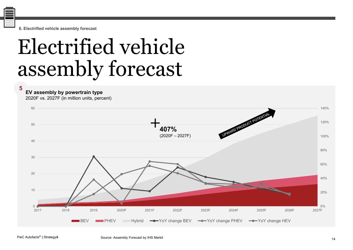**6. Electrified vehicle assembly forecast**

## Electrified vehicle assembly forecast

**5**

**EV assembly by powertrain type**

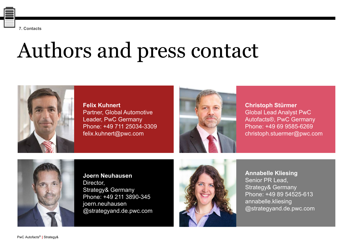**7. Contacts**

# Authors and press contact

**Felix Kuhnert** Partner, Global Automotive Leader, PwC Germany Phone: +49 711 25034-3309 felix.kuhnert@pwc.com

**Christoph Stürmer** Global Lead Analyst PwC Autofacts®, PwC Germany Phone: +49 69 9585-6269 christoph.stuermer@pwc.com

**Joern Neuhausen** Director, Strategy& Germany Phone: +49 211 3890-345 joern.neuhausen @strategyand.de.pwc.com





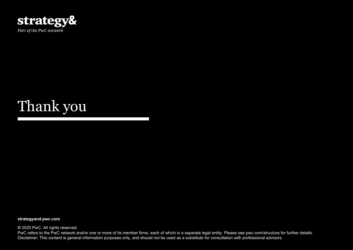

### Thank you

**strategyand.pwc.com**

**©** 2020 PwC. All rights reserved.

PwC refers to the PwC network and/or one or more of its member firms, each of which is a separate legal entity. Please see pwc.com/structure for further details. Disclaimer: This content is general information purposes only, and should not be used as a substitute for consultation with professional advisors.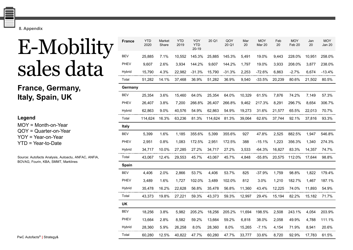**8. Appendix**

### E-Mobility sales data<sup>'</sup>

**France, Germany, Italy, Spain, UK**

#### **Legend** MOY = Month-on-Year QOY = Quarter-on-Year YOY = Year-on-Year YTD = Year-to-Date

Source: Autofacts Analysis, Autoactu, ANFAC, ANFIA, BOVAG, Fourin, KBA, SMMT, Marklines

| <b>France</b> | <b>YTD</b><br>2020 | Market<br>Share | <b>YTD</b><br>2019 | YOY<br><b>YTD</b><br>$20 - 19$ | 20 Q1   | QOY<br>20 Q1 | Mar<br>20 | <b>MOY</b><br><b>Mar 20</b> | Feb<br>20 | <b>MOY</b><br>Feb <sub>20</sub> | Jan<br>20 | <b>MOY</b><br>Jan 20 |
|---------------|--------------------|-----------------|--------------------|--------------------------------|---------|--------------|-----------|-----------------------------|-----------|---------------------------------|-----------|----------------------|
| <b>BEV</b>    | 25,885             | 7.1%            | 10,552             | 145.3%                         | 25,885  | 145.3%       | 5,491     | 19.0%                       | 9,443     | 228.0%                          | 10,951    | 258.0%               |
| PHEV          | 9,607              | 2.6%            | 3,934              | 144.2%                         | 9,607   | 144.2%       | 1,797     | 19.0%                       | 3,933     | 208.0%                          | 3,877     | 238.0%               |
| Hybrid        | 15,790             | 4.3%            | 22,982             | $-31.3%$                       | 15,790  | $-31.3%$     | 2,253     | $-72.6%$                    | 6,863     | $-2.7%$                         | 6,674     | $-13.4%$             |
| Total         | 51,282             | 14.1%           | 37,468             | 36.9%                          | 51,282  | 36.9%        | 9,540     | $-33.5%$                    | 20,239    | 80.6%                           | 21,502    | 80.5%                |
| Germany       |                    |                 |                    |                                |         |              |           |                             |           |                                 |           |                      |
| <b>BEV</b>    | 25,354             | 3.6%            | 15,460             | 64.0%                          | 25,354  | 64.0%        | 10,329    | 61.5%                       | 7,876     | 74.2%                           | 7,149     | 57.3%                |
| PHEV          | 26,407             | 3.8%            | 7,200              | 266.8%                         | 26,407  | 266.8%       | 9,462     | 217.3%                      | 8,291     | 296.7%                          | 8,654     | 306.7%               |
| Hybrid        | 62,863             | 9.0%            | 40,576             | 54.9%                          | 62,863  | 54.9%        | 19,273    | 31.6%                       | 21,577    | 65.5%                           | 22,013    | 70.7%                |
| Total         | 114,624            | 16.3%           | 63,236             | 81.3%                          | 114,624 | 81.3%        | 39,064    | 62.6%                       | 37,744    | 92.1%                           | 37,816    | 93.3%                |
| <b>Italy</b>  |                    |                 |                    |                                |         |              |           |                             |           |                                 |           |                      |
| <b>BEV</b>    | 5,399              | 1.6%            | 1,185              | 355.6%                         | 5,399   | 355.6%       | 927       | 47.8%                       | 2,525     | 882.5%                          | 1,947     | 546.8%               |
| <b>PHEV</b>   | 2,951              | 0.8%            | 1,083              | 172.5%                         | 2,951   | 172.5%       | 388       | $-15.1%$                    | 1,223     | 356.3%                          | 1,340     | 274.3%               |
| Hybrid        | 34,717             | 10.0%           | 27,285             | 27.2%                          | 34,717  | 27.2%        | 3,533     | $-64.3%$                    | 16,827    | 83.3%                           | 14,357    | 74.7%                |
| Total         | 43,067             | 12.4%           | 29,553             | 45.7%                          | 43,067  | 45.7%        | 4,848     | $-55.8%$                    | 20,575    | 112.0%                          | 17,644    | 98.8%                |
| Spain         |                    |                 |                    |                                |         |              |           |                             |           |                                 |           |                      |
| <b>BEV</b>    | 4,406              | 2.0%            | 2,866              | 53.7%                          | 4,406   | 53.7%        | 825       | $-37.9%$                    | 1,759     | 98.8%                           | 1,822     | 179.4%               |
| PHEV          | 3,489              | 1.6%            | 1,727              | 102.0%                         | 3,489   | 102.0%       | 812       | 3.0%                        | 1,210     | 182.7%                          | 1,467     | 187.1%               |
| Hybrid        | 35,478             | 16.2%           | 22,628             | 56.8%                          | 35,478  | 56.8%        | 11,360    | 43.4%                       | 12,225    | 74.0%                           | 11,893    | 54.9%                |
| Total         | 43,373             | 19.8%           | 27,221             | 59.3%                          | 43,373  | 59.3%        | 12,997    | 29.4%                       | 15,194    | 82.2%                           | 15,182    | 71.7%                |
| UK            |                    |                 |                    |                                |         |              |           |                             |           |                                 |           |                      |
| <b>BEV</b>    | 18,256             | 3.8%            | 5,982              | 205.2%                         | 18,256  | 205.2%       | 11,694    | 198.5%                      | 2,508     | 243.1%                          | 4,054     | 203.9%               |
| <b>PHEV</b>   | 13,664             | 2.8%            | 8,582              | 59.2%                          | 13,664  | 59.2%        | 6,818     | 38.0%                       | 2,058     | 49.9%                           | 4,788     | 111.1%               |
| Hybrid        | 28,360             | 5.9%            | 26,258             | 8.0%                           | 28,360  | 8.0%         | 15,265    | $-7.1%$                     | 4,154     | 71.9%                           | 8,941     | 20.6%                |
| Total         | 60,280             | 12.5%           | 40,822             | 47.7%                          | 60,280  | 47.7%        | 33,777    | 33.6%                       | 8,720     | 92.9%                           | 17,783    | 61.5%                |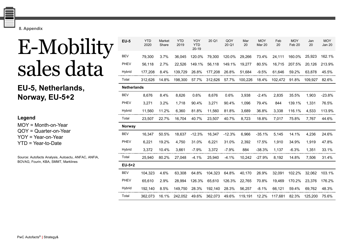**8. Appendix**

### E-Mobility sales data

**EU-5, Netherlands, Norway, EU-5+2**

| Legend                  |  |  |  |  |  |  |  |  |  |  |
|-------------------------|--|--|--|--|--|--|--|--|--|--|
| $MOY = Month-on-Year$   |  |  |  |  |  |  |  |  |  |  |
| $QOY =$ Quarter-on-Year |  |  |  |  |  |  |  |  |  |  |
| $YOY = Year-on-Year$    |  |  |  |  |  |  |  |  |  |  |
| $YTD = Year-to-Date$    |  |  |  |  |  |  |  |  |  |  |

Source: Autofacts Analysis, Autoactu, ANFAC, ANFIA, BOVAG, Fourin, KBA, SMMT, Marklines

| <b>EU-5</b>        | <b>YTD</b><br>2020 | Market<br>Share | <b>YTD</b><br>2019 | YOY<br><b>YTD</b><br>$20 - 19$ | 20 Q1   | QOY<br>20 Q1 | Mar<br>20 | <b>MOY</b><br>Mar 20 | Feb<br>20 | <b>MOY</b><br>Feb <sub>20</sub> | Jan<br>20 | <b>MOY</b><br>Jan 20 |
|--------------------|--------------------|-----------------|--------------------|--------------------------------|---------|--------------|-----------|----------------------|-----------|---------------------------------|-----------|----------------------|
| <b>BEV</b>         | 79,300             | 3.7%            | 36,045             | 120.0%                         | 79,300  | 120.0%       | 29,266    | 73.4%                | 24,111    | 160.0%                          | 25,923    | 162.1%               |
| PHEV               | 56,118             | 2.7%            | 22,526             | 149.1%                         | 56,118  | 149.1%       | 19,277    | 80.5%                | 16,715    | 207.5%                          | 20,126    | 213.9%               |
| Hybrid             | 177,208            | 8.4%            | 139,729            | 26.8%                          | 177,208 | 26.8%        | 51,684    | $-9.5%$              | 61,646    | 59.2%                           | 63,878    | 45.5%                |
| Total              | 312,626            | 14.8%           | 198,300            | 57.7%                          | 312,626 | 57.7%        | 100,226   | 18.4%                | 102,472   | 91.8%                           | 109,927   | 82.6%                |
| <b>Netherlands</b> |                    |                 |                    |                                |         |              |           |                      |           |                                 |           |                      |
| <b>BEV</b>         | 8,676              | 8.4%            | 8,626              | 0.6%                           | 8,676   | 0.6%         | 3,938     | $-2.4%$              | 2,835     | 35.5%                           | 1,903     | $-23.8%$             |
| PHEV               | 3,271              | 3.2%            | 1,718              | 90.4%                          | 3,271   | 90.4%        | 1,096     | 79.4%                | 844       | 139.1%                          | 1,331     | 76.5%                |
| Hybrid             | 11,560             | 11.2%           | 6,360              | 81.8%                          | 11,560  | 81.8%        | 3,689     | 36.8%                | 3,338     | 116.1%                          | 4,533     | 113.9%               |
| Total              | 23,507             | 22.7%           | 16,704             | 40.7%                          | 23,507  | 40.7%        | 8,723     | 18.8%                | 7,017     | 75.8%                           | 7,767     | 44.6%                |
| <b>Norway</b>      |                    |                 |                    |                                |         |              |           |                      |           |                                 |           |                      |
| <b>BEV</b>         | 16,347             | 50.5%           | 18,637             | $-12.3%$                       | 16,347  | $-12.3%$     | 6,966     | $-35.1%$             | 5,145     | 14.1%                           | 4,236     | 24.6%                |
| <b>PHEV</b>        | 6,221              | 19.2%           | 4,750              | 31.0%                          | 6,221   | 31.0%        | 2,392     | 17.5%                | 1,910     | 34.9%                           | 1,919     | 47.8%                |
| Hybrid             | 3,372              | 10.4%           | 3,661              | $-7.9%$                        | 3,372   | $-7.9%$      | 884       | $-38.3%$             | 1,137     | $-6.3%$                         | 1,351     | 33.1%                |
| Total              | 25,940             | 80.2%           | 27,048             | $-4.1%$                        | 25,940  | $-4.1%$      | 10,242    | $-27.9%$             | 8,192     | 14.8%                           | 7,506     | 31.4%                |
| $EU-5+2$           |                    |                 |                    |                                |         |              |           |                      |           |                                 |           |                      |
| <b>BEV</b>         | 104,323            | 4.6%            | 63,308             | 64.8%                          | 104,323 | 64.8%        | 40,170    | 26.9%                | 32,091    | 102.2%                          | 32,062    | 103.1%               |
| PHEV               | 65,610             | 2.9%            | 28,994             | 126.3%                         | 65,610  | 126.3%       | 22,765    | 70.8%                | 19,469    | 170.2%                          | 23,376    | 176.2%               |
| Hybrid             | 192,140            | 8.5%            | 149,750            | 28.3%                          | 192,140 | 28.3%        | 56,257    | $-8.1%$              | 66,121    | 59.4%                           | 69,762    | 48.3%                |
| Total              | 362,073            | 16.1%           | 242,052            | 49.6%                          | 362,073 | 49.6%        | 119,191   | 12.2%                | 117,681   | 82.3%                           | 125,200   | 75.6%                |